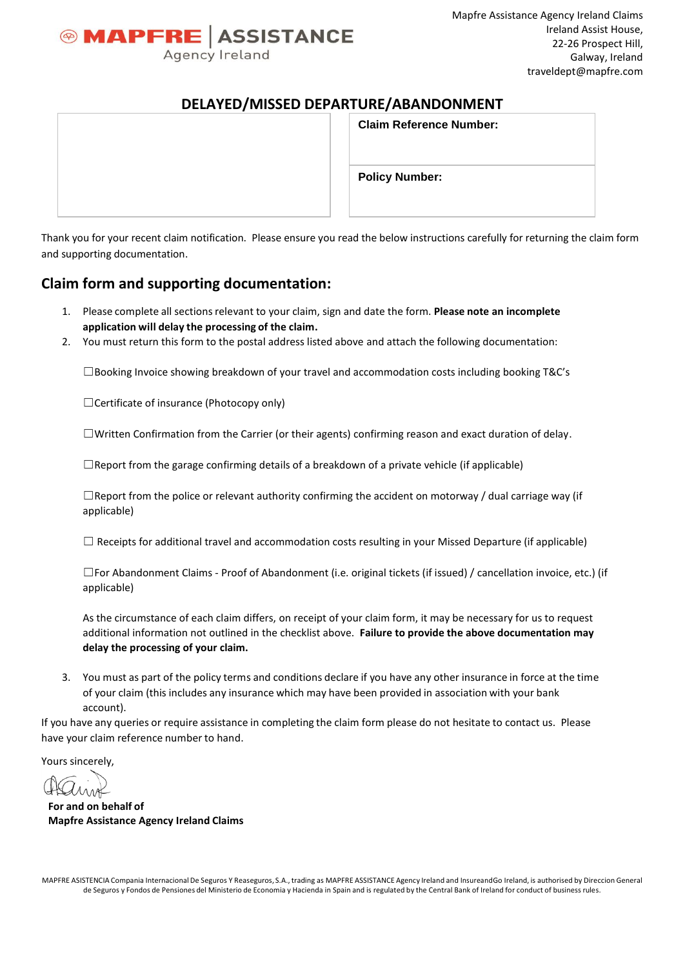

# **DELAYED/MISSED DEPARTURE/ABANDONMENT**

| ______<br>-------- | ---- - - - - - -<br>- --- -    |
|--------------------|--------------------------------|
|                    | <b>Claim Reference Number:</b> |
|                    |                                |
|                    | <b>Policy Number:</b>          |
|                    |                                |

Thank you for your recent claim notification. Please ensure you read the below instructions carefully for returning the claim form and supporting documentation.

# **Claim form and supporting documentation:**

- 1. Please complete all sectionsrelevant to your claim, sign and date the form. **Please note an incomplete application will delay the processing of the claim.**
- 2. You must return this form to the postal address listed above and attach the following documentation:

 $\square$ Booking Invoice showing breakdown of your travel and accommodation costs including booking T&C's

☐Certificate of insurance (Photocopy only)

☐Written Confirmation from the Carrier (or their agents) confirming reason and exact duration of delay.

 $\Box$ Report from the garage confirming details of a breakdown of a private vehicle (if applicable)

 $\Box$ Report from the police or relevant authority confirming the accident on motorway / dual carriage way (if applicable)

 $\Box$  Receipts for additional travel and accommodation costs resulting in your Missed Departure (if applicable)

☐For Abandonment Claims - Proof of Abandonment (i.e. original tickets (if issued) / cancellation invoice, etc.) (if applicable)

As the circumstance of each claim differs, on receipt of your claim form, it may be necessary for us to request additional information not outlined in the checklist above. **Failure to provide the above documentation may delay the processing of your claim.**

3. You must as part of the policy terms and conditions declare if you have any other insurance in force at the time of your claim (this includes any insurance which may have been provided in association with your bank account).

If you have any queries or require assistance in completing the claim form please do not hesitate to contact us. Please have your claim reference number to hand.

Yours sincerely,

**For and on behalf of Mapfre Assistance Agency Ireland Claims**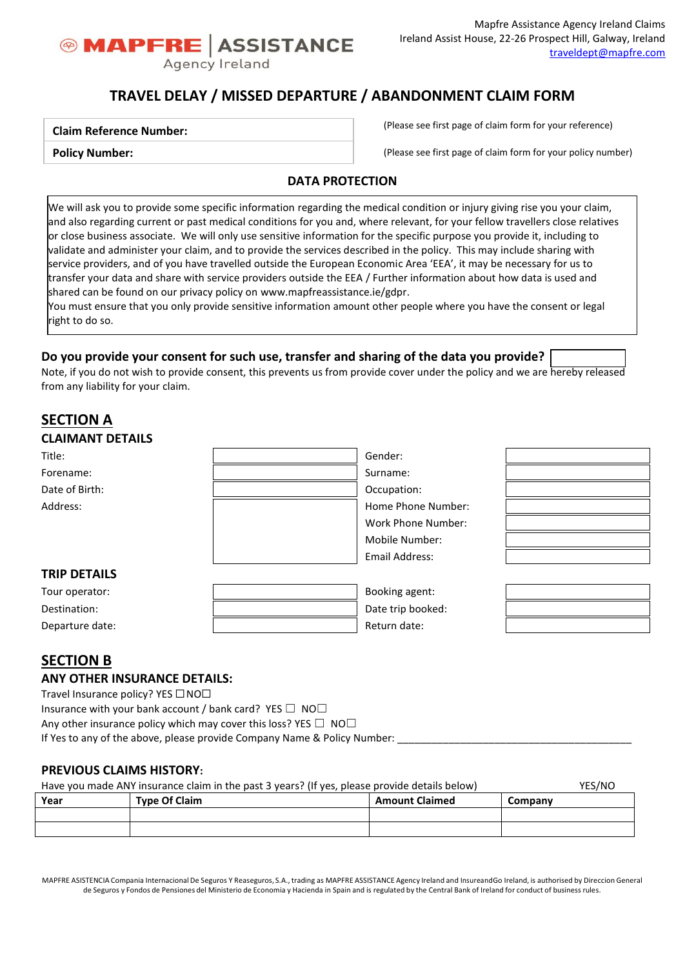

# **TRAVEL DELAY / MISSED DEPARTURE / ABANDONMENT CLAIM FORM**

### **Claim Reference Number:**

**Policy Number:**

(Please see first page of claim form for your reference)

(Please see first page of claim form for your policy number)

## **DATA PROTECTION**

We will ask you to provide some specific information regarding the medical condition or injury giving rise you your claim, and also regarding current or past medical conditions for you and, where relevant, for your fellow travellers close relatives or close business associate. We will only use sensitive information for the specific purpose you provide it, including to validate and administer your claim, and to provide the services described in the policy. This may include sharing with service providers, and of you have travelled outside the European Economic Area 'EEA', it may be necessary for us to transfer your data and share with service providers outside the EEA / Further information about how data is used and shared can be found on our privacy policy o[n www.mapfreassistance.ie/gdpr.](http://www.mapfreassistance.ie/gdpr)

You must ensure that you only provide sensitive information amount other people where you have the consent or legal right to do so.

## **Do you provide your consent for such use, transfer and sharing of the data you provide?**

Note, if you do not wish to provide consent, this prevents us from provide cover under the policy and we are hereby released from any liability for your claim.

# **SECTION A**

| <b>CLAIMANT DETAILS</b> |                    |  |
|-------------------------|--------------------|--|
| Title:                  | Gender:            |  |
| Forename:               | Surname:           |  |
| Date of Birth:          | Occupation:        |  |
| Address:                | Home Phone Number: |  |
|                         | Work Phone Number: |  |
|                         | Mobile Number:     |  |
|                         | Email Address:     |  |
| <b>TRIP DETAILS</b>     |                    |  |
| Tour operator:          | Booking agent:     |  |

# **SECTION B**

### **ANY OTHER INSURANCE DETAILS:**

Travel Insurance policy? YES □ NO□ Insurance with your bank account / bank card? YES  $\Box$  NO $\Box$ Any other insurance policy which may cover this loss? YES  $\Box$  NO $\Box$ If Yes to any of the above, please provide Company Name & Policy Number:

Destination: **Destination: Destination: Destination: D** Departure date:  $\qquad \qquad$  |  $\qquad \qquad$  Return date:

## **PREVIOUS CLAIMS HISTORY:**

| Have you made ANY insurance claim in the past 3 years? (If yes, please provide details below) |  |  |  |  |  |
|-----------------------------------------------------------------------------------------------|--|--|--|--|--|
| <b>Type Of Claim</b><br>Year<br><b>Amount Claimed</b><br>Company                              |  |  |  |  |  |
|                                                                                               |  |  |  |  |  |
|                                                                                               |  |  |  |  |  |

MAPFRE ASISTENCIA Compania Internacional De Seguros Y Reaseguros, S.A., trading as MAPFRE ASSISTANCE Agency Ireland and InsureandGo Ireland, is authorised by Direccion General de Seguros y Fondos de Pensiones del Ministerio de Economia y Hacienda in Spain and is regulated by the Central Bank of Ireland for conduct of businessrules.